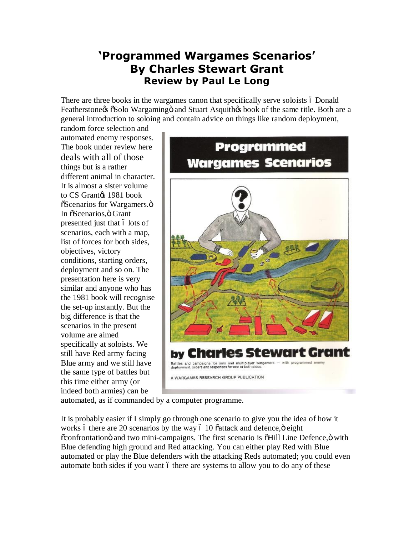## **'Programmed Wargames Scenarios' By Charles Stewart Grant Review by Paul Le Long**

There are three books in the wargames canon that specifically serve soloists ó Donald Featherstone a  $\delta$ Solo Wargaming  $\delta$  and Stuart Asquith  $\delta$  book of the same title. Both are a general introduction to soloing and contain advice on things like random deployment,

random force selection and automated enemy responses. The book under review here deals with all of those things but is a rather different animal in character. It is almost a sister volume to CS Grantos 1981 book  $\tilde{c}$ Scenarios for Wargamers. $\ddot{o}$ In  $\tilde{c}$ Scenarios,  $\ddot{o}$  Grant presented just that 6 lots of scenarios, each with a map, list of forces for both sides, objectives, victory conditions, starting orders, deployment and so on. The presentation here is very similar and anyone who has the 1981 book will recognise the set-up instantly. But the big difference is that the scenarios in the present volume are aimed specifically at soloists. We still have Red army facing Blue army and we still have the same type of battles but this time either army (or indeed both armies) can be



automated, as if commanded by a computer programme.

It is probably easier if I simply go through one scenario to give you the idea of how it works 6 there are 20 scenarios by the way 6 10  $\ddot{\text{o}}$  attack and defence, $\ddot{\text{o}}$  eight  $\ddot{\text{c}}$  confrontation and two mini-campaigns. The first scenario is  $\ddot{\text{d}}$ Hill Line Defence,  $\ddot{\text{o}}$  with Blue defending high ground and Red attacking. You can either play Red with Blue automated or play the Blue defenders with the attacking Reds automated; you could even automate both sides if you want 6 there are systems to allow you to do any of these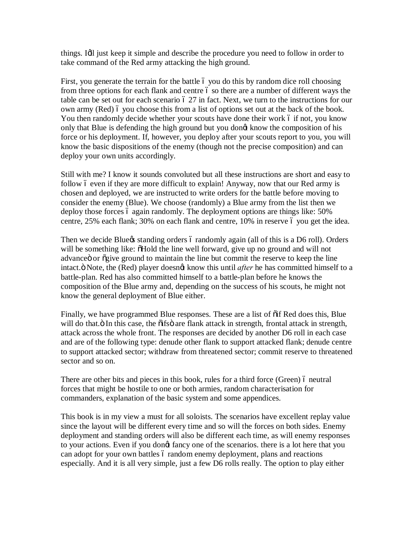things. I'll just keep it simple and describe the procedure you need to follow in order to take command of the Red army attacking the high ground.

First, you generate the terrain for the battle 6 you do this by random dice roll choosing from three options for each flank and centre 6 so there are a number of different ways the table can be set out for each scenario  $627$  in fact. Next, we turn to the instructions for our own army (Red) 6 you choose this from a list of options set out at the back of the book. You then randomly decide whether your scouts have done their work 6 if not, you know only that Blue is defending the high ground but you dongt know the composition of his force or his deployment. If, however, you deploy after your scouts report to you, you will know the basic dispositions of the enemy (though not the precise composition) and can deploy your own units accordingly.

Still with me? I know it sounds convoluted but all these instructions are short and easy to follow 6 even if they are more difficult to explain! Anyway, now that our Red army is chosen and deployed, we are instructed to write orders for the battle before moving to consider the enemy (Blue). We choose (randomly) a Blue army from the list then we deploy those forces 6 again randomly. The deployment options are things like: 50% centre,  $25\%$  each flank;  $30\%$  on each flank and centre,  $10\%$  in reserve 6 you get the idea.

Then we decide Blue tstanding orders 6 randomly again (all of this is a D6 roll). Orders will be something like:  $\delta$ Hold the line well forward, give up no ground and will not advance or  $\tilde{q}$  or  $\tilde{q}$  give ground to maintain the line but commit the reserve to keep the line intact.<sup>"</sup> Note, the (Red) player doesngt know this until *after* he has committed himself to a battle-plan. Red has also committed himself to a battle-plan before he knows the composition of the Blue army and, depending on the success of his scouts, he might not know the general deployment of Blue either.

Finally, we have programmed Blue responses. These are a list of  $\ddot{\text{o}}$  if Red does this, Blue will do that." In this case, the  $\tilde{o}$  ifs $\tilde{o}$  are flank attack in strength, frontal attack in strength, attack across the whole front. The responses are decided by another D6 roll in each case and are of the following type: denude other flank to support attacked flank; denude centre to support attacked sector; withdraw from threatened sector; commit reserve to threatened sector and so on.

There are other bits and pieces in this book, rules for a third force (Green) 6 neutral forces that might be hostile to one or both armies, random characterisation for commanders, explanation of the basic system and some appendices.

This book is in my view a must for all soloists. The scenarios have excellent replay value since the layout will be different every time and so will the forces on both sides. Enemy deployment and standing orders will also be different each time, as will enemy responses to your actions. Even if you dongt fancy one of the scenarios, there is a lot here that you can adopt for your own battles 6 random enemy deployment, plans and reactions especially. And it is all very simple, just a few D6 rolls really. The option to play either